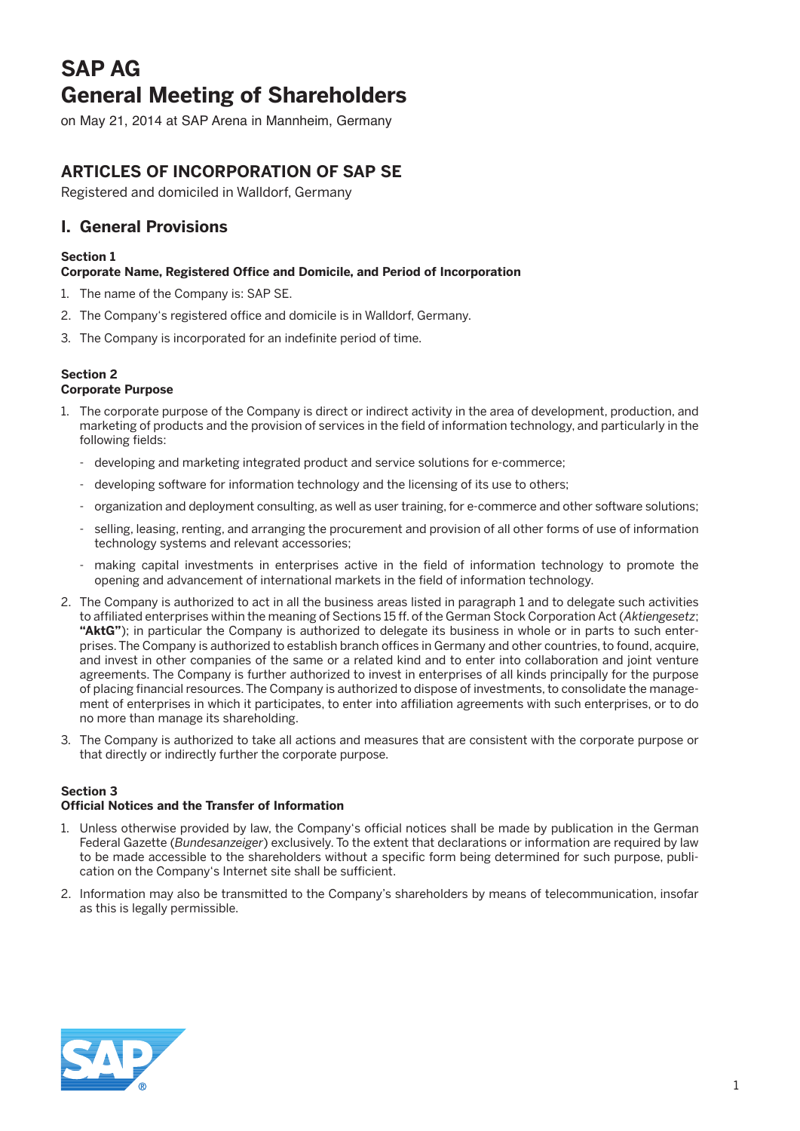# **SAP AG General Meeting of Shareholders**

on May 21, 2014 at SAP Arena in Mannheim, Germany

# **Articles of Incorporation of SAP SE**

Registered and domiciled in Walldorf, Germany

## **I. General Provisions**

### **Section 1**

### **Corporate Name, Registered Office and Domicile, and Period of Incorporation**

- 1. The name of the Company is: SAP SE.
- 2. The Company's registered office and domicile is in Walldorf, Germany.
- 3. The Company is incorporated for an indefinite period of time.

### **Section 2**

### **Corporate Purpose**

- 1. The corporate purpose of the Company is direct or indirect activity in the area of development, production, and marketing of products and the provision of services in the field of information technology, and particularly in the following fields:
	- developing and marketing integrated product and service solutions for e-commerce;
	- developing software for information technology and the licensing of its use to others;
	- organization and deployment consulting, as well as user training, for e-commerce and other software solutions;
	- selling, leasing, renting, and arranging the procurement and provision of all other forms of use of information technology systems and relevant accessories;
	- making capital investments in enterprises active in the field of information technology to promote the opening and advancement of international markets in the field of information technology.
- 2. The Company is authorized to act in all the business areas listed in paragraph 1 and to delegate such activities to affiliated enterprises within the meaning of Sections 15 ff. of the German Stock Corporation Act (*Aktiengesetz*; **"AktG"**); in particular the Company is authorized to delegate its business in whole or in parts to such enterprises. The Company is authorized to establish branch offices in Germany and other countries, to found, acquire, and invest in other companies of the same or a related kind and to enter into collaboration and joint venture agreements. The Company is further authorized to invest in enterprises of all kinds principally for the purpose of placing financial resources. The Company is authorized to dispose of investments, to consolidate the management of enterprises in which it participates, to enter into affiliation agreements with such enterprises, or to do no more than manage its shareholding.
- 3. The Company is authorized to take all actions and measures that are consistent with the corporate purpose or that directly or indirectly further the corporate purpose.

#### **Section 3**

#### **Official Notices and the Transfer of Information**

- 1. Unless otherwise provided by law, the Company's official notices shall be made by publication in the German Federal Gazette (*Bundesanzeiger*) exclusively. To the extent that declarations or information are required by law to be made accessible to the shareholders without a specific form being determined for such purpose, publication on the Company's Internet site shall be sufficient.
- 2. Information may also be transmitted to the Company's shareholders by means of telecommunication, insofar as this is legally permissible.

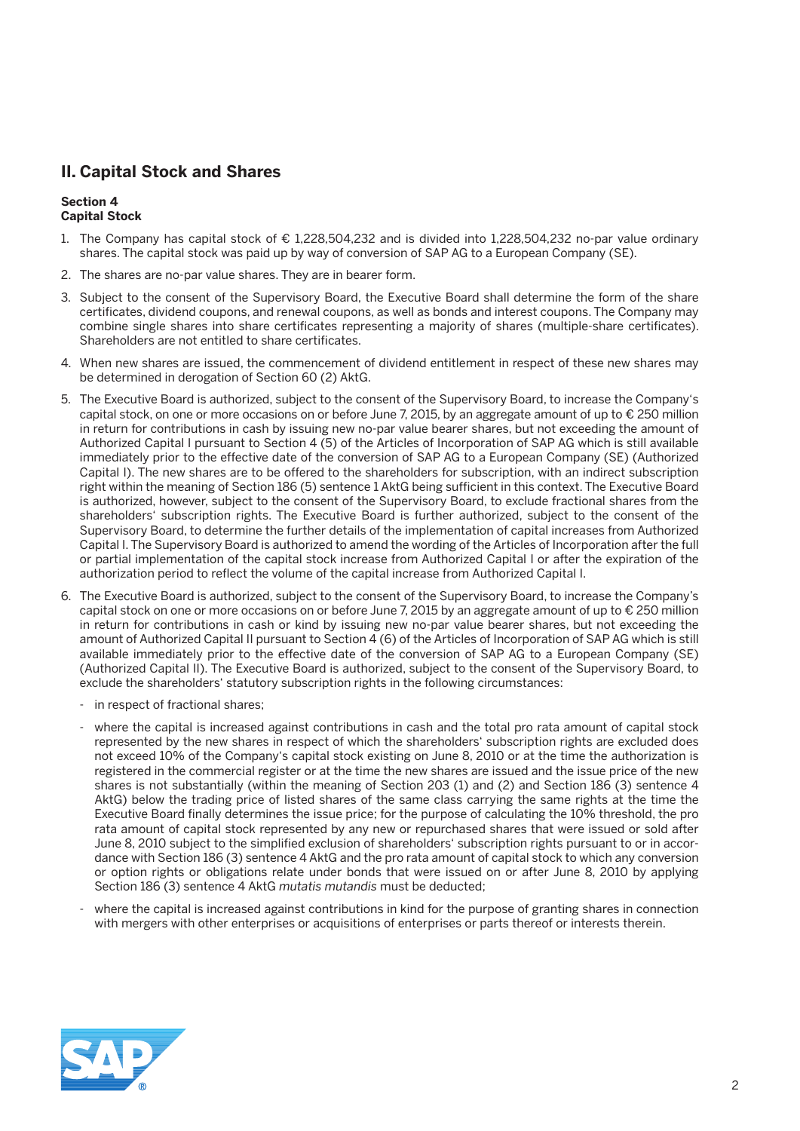# **II. Capital Stock and Shares**

#### **Section 4 Capital Stock**

- 1. The Company has capital stock of € 1,228,504,232 and is divided into 1,228,504,232 no-par value ordinary shares. The capital stock was paid up by way of conversion of SAP AG to a European Company (SE).
- 2. The shares are no-par value shares. They are in bearer form.
- 3. Subject to the consent of the Supervisory Board, the Executive Board shall determine the form of the share certificates, dividend coupons, and renewal coupons, as well as bonds and interest coupons. The Company may combine single shares into share certificates representing a majority of shares (multiple-share certificates). Shareholders are not entitled to share certificates.
- 4. When new shares are issued, the commencement of dividend entitlement in respect of these new shares may be determined in derogation of Section 60 (2) AktG.
- 5. The Executive Board is authorized, subject to the consent of the Supervisory Board, to increase the Company's capital stock, on one or more occasions on or before June 7, 2015, by an aggregate amount of up to € 250 million in return for contributions in cash by issuing new no-par value bearer shares, but not exceeding the amount of Authorized Capital I pursuant to Section 4 (5) of the Articles of Incorporation of SAP AG which is still available immediately prior to the effective date of the conversion of SAP AG to a European Company (SE) (Authorized Capital I). The new shares are to be offered to the shareholders for subscription, with an indirect subscription right within the meaning of Section 186 (5) sentence 1 AktG being sufficient in this context. The Executive Board is authorized, however, subject to the consent of the Supervisory Board, to exclude fractional shares from the shareholders' subscription rights. The Executive Board is further authorized, subject to the consent of the Supervisory Board, to determine the further details of the implementation of capital increases from Authorized Capital I. The Supervisory Board is authorized to amend the wording of the Articles of Incorporation after the full or partial implementation of the capital stock increase from Authorized Capital I or after the expiration of the authorization period to reflect the volume of the capital increase from Authorized Capital I.
- 6. The Executive Board is authorized, subject to the consent of the Supervisory Board, to increase the Company's capital stock on one or more occasions on or before June 7, 2015 by an aggregate amount of up to € 250 million in return for contributions in cash or kind by issuing new no-par value bearer shares, but not exceeding the amount of Authorized Capital II pursuant to Section 4 (6) of the Articles of Incorporation of SAP AG which is still available immediately prior to the effective date of the conversion of SAP AG to a European Company (SE) (Authorized Capital II). The Executive Board is authorized, subject to the consent of the Supervisory Board, to exclude the shareholders' statutory subscription rights in the following circumstances:
	- in respect of fractional shares;
	- where the capital is increased against contributions in cash and the total pro rata amount of capital stock represented by the new shares in respect of which the shareholders' subscription rights are excluded does not exceed 10% of the Company's capital stock existing on June 8, 2010 or at the time the authorization is registered in the commercial register or at the time the new shares are issued and the issue price of the new shares is not substantially (within the meaning of Section 203 (1) and (2) and Section 186 (3) sentence 4 AktG) below the trading price of listed shares of the same class carrying the same rights at the time the Executive Board finally determines the issue price; for the purpose of calculating the 10% threshold, the pro rata amount of capital stock represented by any new or repurchased shares that were issued or sold after June 8, 2010 subject to the simplified exclusion of shareholders' subscription rights pursuant to or in accordance with Section 186 (3) sentence 4 AktG and the pro rata amount of capital stock to which any conversion or option rights or obligations relate under bonds that were issued on or after June 8, 2010 by applying Section 186 (3) sentence 4 AktG *mutatis mutandis* must be deducted;
	- where the capital is increased against contributions in kind for the purpose of granting shares in connection with mergers with other enterprises or acquisitions of enterprises or parts thereof or interests therein.

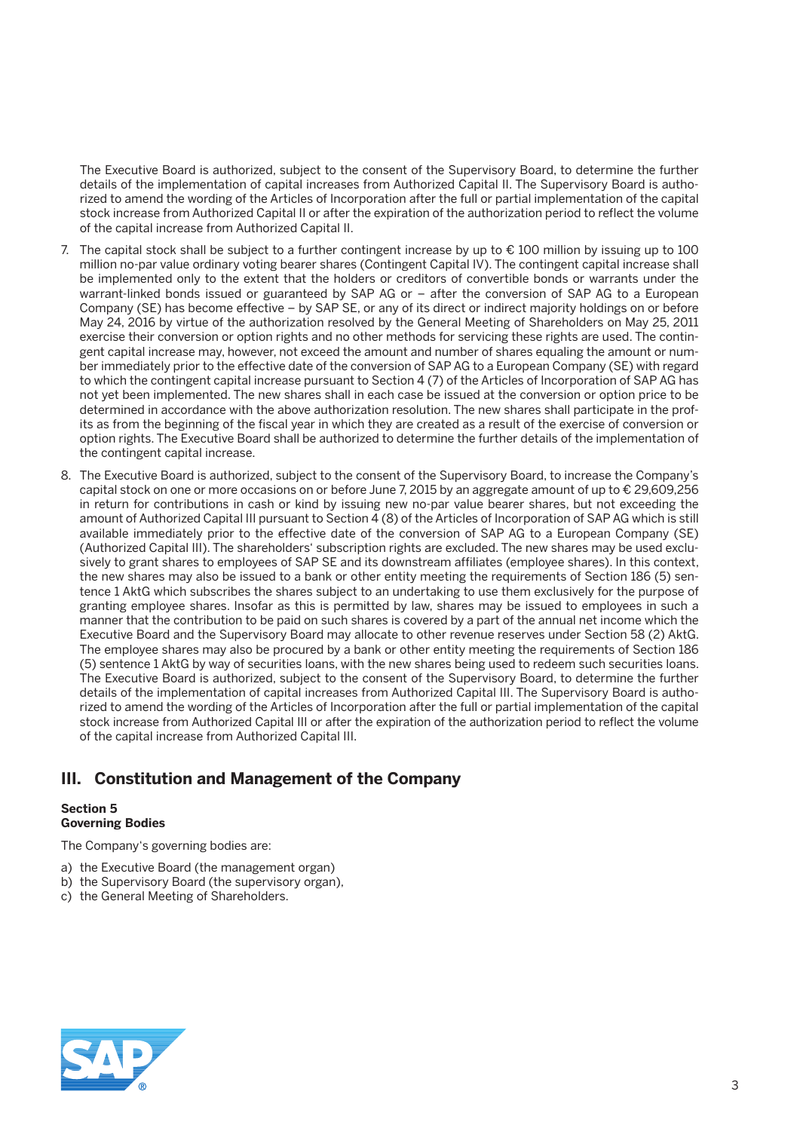The Executive Board is authorized, subject to the consent of the Supervisory Board, to determine the further details of the implementation of capital increases from Authorized Capital II. The Supervisory Board is authorized to amend the wording of the Articles of Incorporation after the full or partial implementation of the capital stock increase from Authorized Capital II or after the expiration of the authorization period to reflect the volume of the capital increase from Authorized Capital II.

- 7. The capital stock shall be subject to a further contingent increase by up to  $\epsilon$  100 million by issuing up to 100 million no-par value ordinary voting bearer shares (Contingent Capital IV). The contingent capital increase shall be implemented only to the extent that the holders or creditors of convertible bonds or warrants under the warrant-linked bonds issued or guaranteed by SAP AG or – after the conversion of SAP AG to a European Company (SE) has become effective – by SAP SE, or any of its direct or indirect majority holdings on or before May 24, 2016 by virtue of the authorization resolved by the General Meeting of Shareholders on May 25, 2011 exercise their conversion or option rights and no other methods for servicing these rights are used. The contingent capital increase may, however, not exceed the amount and number of shares equaling the amount or number immediately prior to the effective date of the conversion of SAP AG to a European Company (SE) with regard to which the contingent capital increase pursuant to Section 4 (7) of the Articles of Incorporation of SAP AG has not yet been implemented. The new shares shall in each case be issued at the conversion or option price to be determined in accordance with the above authorization resolution. The new shares shall participate in the profits as from the beginning of the fiscal year in which they are created as a result of the exercise of conversion or option rights. The Executive Board shall be authorized to determine the further details of the implementation of the contingent capital increase.
- 8. The Executive Board is authorized, subject to the consent of the Supervisory Board, to increase the Company's capital stock on one or more occasions on or before June 7, 2015 by an aggregate amount of up to € 29,609,256 in return for contributions in cash or kind by issuing new no-par value bearer shares, but not exceeding the amount of Authorized Capital III pursuant to Section 4 (8) of the Articles of Incorporation of SAP AG which is still available immediately prior to the effective date of the conversion of SAP AG to a European Company (SE) (Authorized Capital III). The shareholders' subscription rights are excluded. The new shares may be used exclusively to grant shares to employees of SAP SE and its downstream affiliates (employee shares). In this context, the new shares may also be issued to a bank or other entity meeting the requirements of Section 186 (5) sentence 1 AktG which subscribes the shares subject to an undertaking to use them exclusively for the purpose of granting employee shares. Insofar as this is permitted by law, shares may be issued to employees in such a manner that the contribution to be paid on such shares is covered by a part of the annual net income which the Executive Board and the Supervisory Board may allocate to other revenue reserves under Section 58 (2) AktG. The employee shares may also be procured by a bank or other entity meeting the requirements of Section 186 (5) sentence 1 AktG by way of securities loans, with the new shares being used to redeem such securities loans. The Executive Board is authorized, subject to the consent of the Supervisory Board, to determine the further details of the implementation of capital increases from Authorized Capital III. The Supervisory Board is authorized to amend the wording of the Articles of Incorporation after the full or partial implementation of the capital stock increase from Authorized Capital III or after the expiration of the authorization period to reflect the volume of the capital increase from Authorized Capital III.

# **III. Constitution and Management of the Company**

#### **Section 5 Governing Bodies**

The Company's governing bodies are:

- a) the Executive Board (the management organ)
- b) the Supervisory Board (the supervisory organ),
- c) the General Meeting of Shareholders.

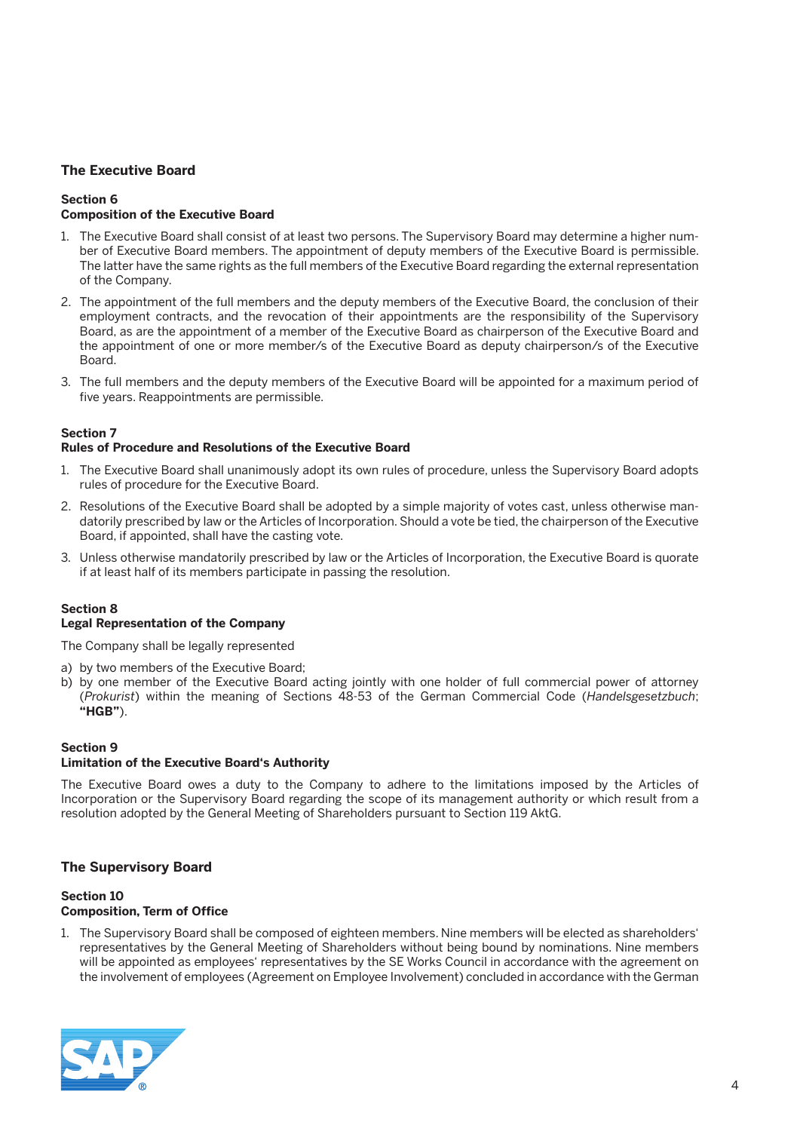### **The Executive Board**

#### **Section 6 Composition of the Executive Board**

- 1. The Executive Board shall consist of at least two persons. The Supervisory Board may determine a higher number of Executive Board members. The appointment of deputy members of the Executive Board is permissible. The latter have the same rights as the full members of the Executive Board regarding the external representation of the Company.
- 2. The appointment of the full members and the deputy members of the Executive Board, the conclusion of their employment contracts, and the revocation of their appointments are the responsibility of the Supervisory Board, as are the appointment of a member of the Executive Board as chairperson of the Executive Board and the appointment of one or more member/s of the Executive Board as deputy chairperson/s of the Executive Board.
- 3. The full members and the deputy members of the Executive Board will be appointed for a maximum period of five years. Reappointments are permissible.

#### **Section 7**

#### **Rules of Procedure and Resolutions of the Executive Board**

- 1. The Executive Board shall unanimously adopt its own rules of procedure, unless the Supervisory Board adopts rules of procedure for the Executive Board.
- 2. Resolutions of the Executive Board shall be adopted by a simple majority of votes cast, unless otherwise mandatorily prescribed by law or the Articles of Incorporation. Should a vote be tied, the chairperson of the Executive Board, if appointed, shall have the casting vote.
- 3. Unless otherwise mandatorily prescribed by law or the Articles of Incorporation, the Executive Board is quorate if at least half of its members participate in passing the resolution.

### **Section 8**

#### **Legal Representation of the Company**

The Company shall be legally represented

- a) by two members of the Executive Board;
- b) by one member of the Executive Board acting jointly with one holder of full commercial power of attorney (*Prokurist*) within the meaning of Sections 48-53 of the German Commercial Code (*Handelsgesetzbuch*; **"HGB"**).

#### **Section 9 Limitation of the Executive Board's Authority**

The Executive Board owes a duty to the Company to adhere to the limitations imposed by the Articles of Incorporation or the Supervisory Board regarding the scope of its management authority or which result from a resolution adopted by the General Meeting of Shareholders pursuant to Section 119 AktG.

#### **The Supervisory Board**

#### **Section 10 Composition, Term of Office**

1. The Supervisory Board shall be composed of eighteen members. Nine members will be elected as shareholders' representatives by the General Meeting of Shareholders without being bound by nominations. Nine members will be appointed as employees' representatives by the SE Works Council in accordance with the agreement on the involvement of employees (Agreement on Employee Involvement) concluded in accordance with the German

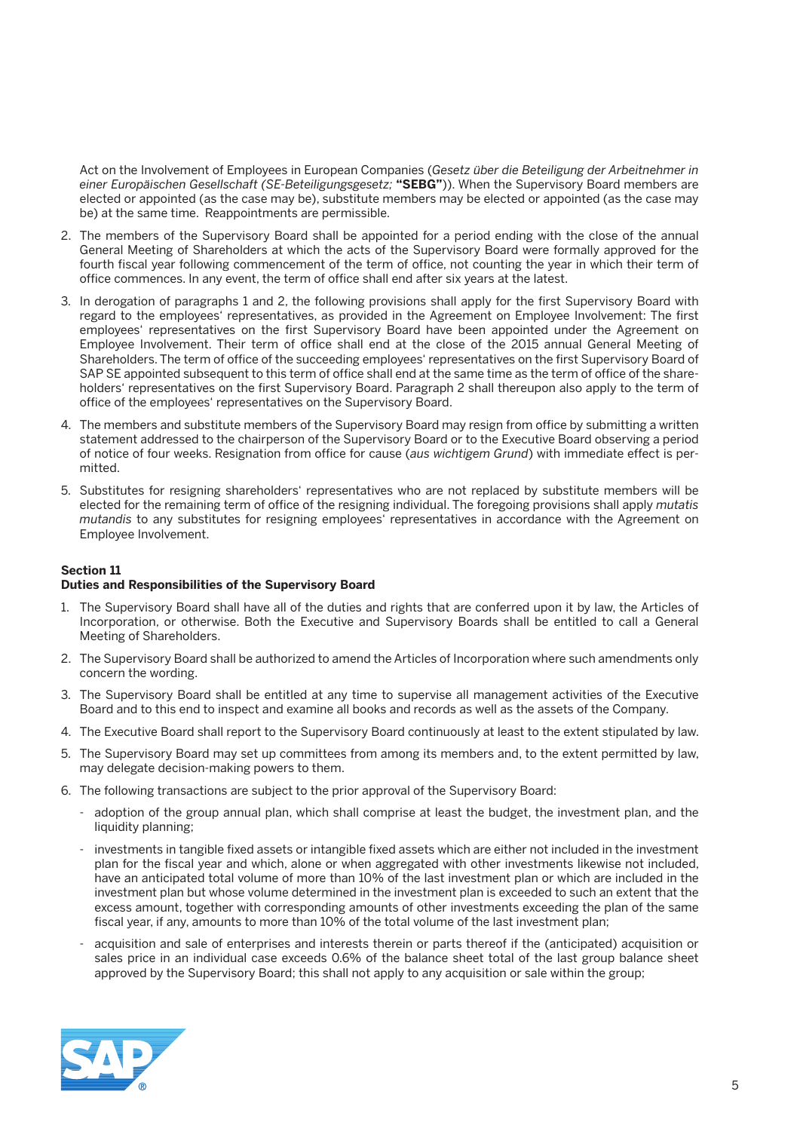Act on the Involvement of Employees in European Companies (*Gesetz über die Beteiligung der Arbeitnehmer in einer Europäischen Gesellschaft (SE-Beteiligungsgesetz;* **"SEBG"**)). When the Supervisory Board members are elected or appointed (as the case may be), substitute members may be elected or appointed (as the case may be) at the same time. Reappointments are permissible.

- 2. The members of the Supervisory Board shall be appointed for a period ending with the close of the annual General Meeting of Shareholders at which the acts of the Supervisory Board were formally approved for the fourth fiscal year following commencement of the term of office, not counting the year in which their term of office commences. In any event, the term of office shall end after six years at the latest.
- 3. In derogation of paragraphs 1 and 2, the following provisions shall apply for the first Supervisory Board with regard to the employees' representatives, as provided in the Agreement on Employee Involvement: The first employees' representatives on the first Supervisory Board have been appointed under the Agreement on Employee Involvement. Their term of office shall end at the close of the 2015 annual General Meeting of Shareholders. The term of office of the succeeding employees' representatives on the first Supervisory Board of SAP SE appointed subsequent to this term of office shall end at the same time as the term of office of the shareholders' representatives on the first Supervisory Board. Paragraph 2 shall thereupon also apply to the term of office of the employees' representatives on the Supervisory Board.
- 4. The members and substitute members of the Supervisory Board may resign from office by submitting a written statement addressed to the chairperson of the Supervisory Board or to the Executive Board observing a period of notice of four weeks. Resignation from office for cause (*aus wichtigem Grund*) with immediate effect is permitted.
- 5. Substitutes for resigning shareholders' representatives who are not replaced by substitute members will be elected for the remaining term of office of the resigning individual. The foregoing provisions shall apply *mutatis mutandis* to any substitutes for resigning employees' representatives in accordance with the Agreement on Employee Involvement.

#### **Section 11**

#### **Duties and Responsibilities of the Supervisory Board**

- 1. The Supervisory Board shall have all of the duties and rights that are conferred upon it by law, the Articles of Incorporation, or otherwise. Both the Executive and Supervisory Boards shall be entitled to call a General Meeting of Shareholders.
- 2. The Supervisory Board shall be authorized to amend the Articles of Incorporation where such amendments only concern the wording.
- 3. The Supervisory Board shall be entitled at any time to supervise all management activities of the Executive Board and to this end to inspect and examine all books and records as well as the assets of the Company.
- 4. The Executive Board shall report to the Supervisory Board continuously at least to the extent stipulated by law.
- 5. The Supervisory Board may set up committees from among its members and, to the extent permitted by law, may delegate decision-making powers to them.
- 6. The following transactions are subject to the prior approval of the Supervisory Board:
	- adoption of the group annual plan, which shall comprise at least the budget, the investment plan, and the liquidity planning;
	- investments in tangible fixed assets or intangible fixed assets which are either not included in the investment plan for the fiscal year and which, alone or when aggregated with other investments likewise not included, have an anticipated total volume of more than 10% of the last investment plan or which are included in the investment plan but whose volume determined in the investment plan is exceeded to such an extent that the excess amount, together with corresponding amounts of other investments exceeding the plan of the same fiscal year, if any, amounts to more than 10% of the total volume of the last investment plan;
	- acquisition and sale of enterprises and interests therein or parts thereof if the (anticipated) acquisition or sales price in an individual case exceeds 0.6% of the balance sheet total of the last group balance sheet approved by the Supervisory Board; this shall not apply to any acquisition or sale within the group;

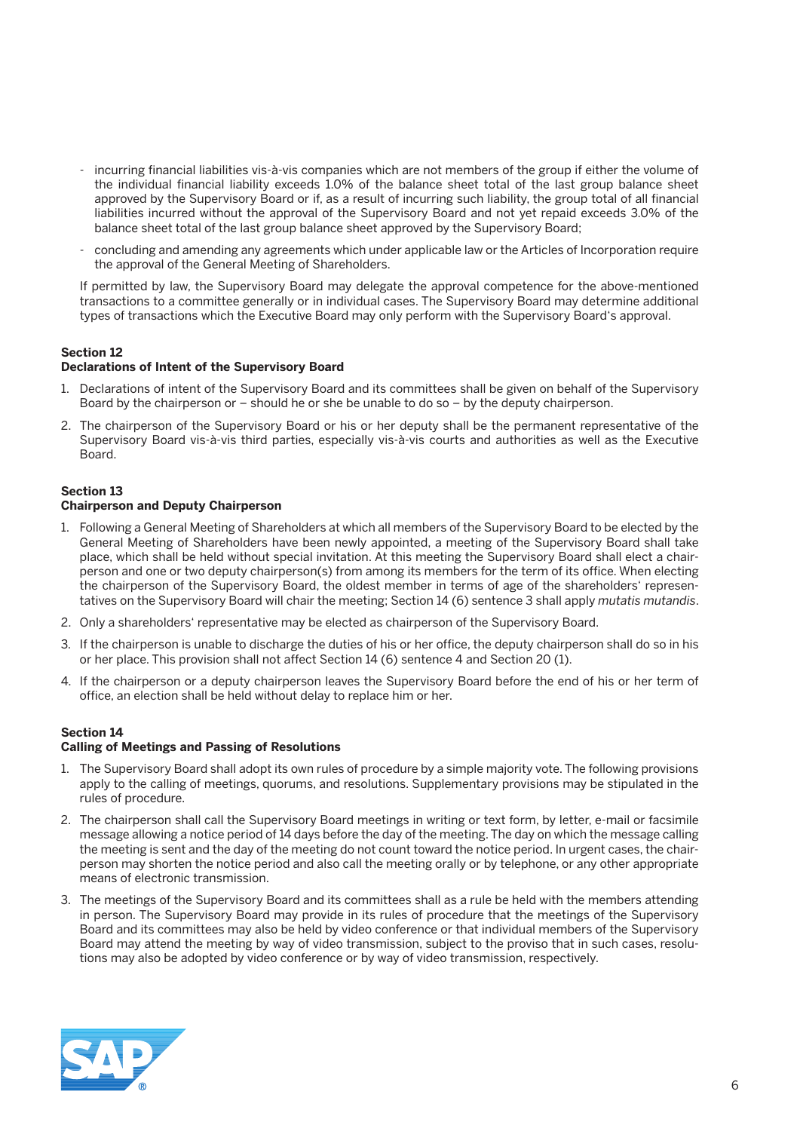- incurring financial liabilities vis-à-vis companies which are not members of the group if either the volume of the individual financial liability exceeds 1.0% of the balance sheet total of the last group balance sheet approved by the Supervisory Board or if, as a result of incurring such liability, the group total of all financial liabilities incurred without the approval of the Supervisory Board and not yet repaid exceeds 3.0% of the balance sheet total of the last group balance sheet approved by the Supervisory Board;
- concluding and amending any agreements which under applicable law or the Articles of Incorporation require the approval of the General Meeting of Shareholders.

 If permitted by law, the Supervisory Board may delegate the approval competence for the above-mentioned transactions to a committee generally or in individual cases. The Supervisory Board may determine additional types of transactions which the Executive Board may only perform with the Supervisory Board's approval.

#### **Section 12**

#### **Declarations of Intent of the Supervisory Board**

- 1. Declarations of intent of the Supervisory Board and its committees shall be given on behalf of the Supervisory Board by the chairperson or – should he or she be unable to do so – by the deputy chairperson.
- 2. The chairperson of the Supervisory Board or his or her deputy shall be the permanent representative of the Supervisory Board vis-à-vis third parties, especially vis-à-vis courts and authorities as well as the Executive Board.

#### **Section 13 Chairperson and Deputy Chairperson**

- 1. Following a General Meeting of Shareholders at which all members of the Supervisory Board to be elected by the General Meeting of Shareholders have been newly appointed, a meeting of the Supervisory Board shall take place, which shall be held without special invitation. At this meeting the Supervisory Board shall elect a chairperson and one or two deputy chairperson(s) from among its members for the term of its office. When electing the chairperson of the Supervisory Board, the oldest member in terms of age of the shareholders' representatives on the Supervisory Board will chair the meeting; Section 14 (6) sentence 3 shall apply *mutatis mutandis*.
- 2. Only a shareholders' representative may be elected as chairperson of the Supervisory Board.
- 3. If the chairperson is unable to discharge the duties of his or her office, the deputy chairperson shall do so in his or her place. This provision shall not affect Section 14 (6) sentence 4 and Section 20 (1).
- 4. If the chairperson or a deputy chairperson leaves the Supervisory Board before the end of his or her term of office, an election shall be held without delay to replace him or her.

#### **Section 14**

#### **Calling of Meetings and Passing of Resolutions**

- 1. The Supervisory Board shall adopt its own rules of procedure by a simple majority vote. The following provisions apply to the calling of meetings, quorums, and resolutions. Supplementary provisions may be stipulated in the rules of procedure.
- 2. The chairperson shall call the Supervisory Board meetings in writing or text form, by letter, e-mail or facsimile message allowing a notice period of 14 days before the day of the meeting. The day on which the message calling the meeting is sent and the day of the meeting do not count toward the notice period. In urgent cases, the chairperson may shorten the notice period and also call the meeting orally or by telephone, or any other appropriate means of electronic transmission.
- 3. The meetings of the Supervisory Board and its committees shall as a rule be held with the members attending in person. The Supervisory Board may provide in its rules of procedure that the meetings of the Supervisory Board and its committees may also be held by video conference or that individual members of the Supervisory Board may attend the meeting by way of video transmission, subject to the proviso that in such cases, resolutions may also be adopted by video conference or by way of video transmission, respectively.

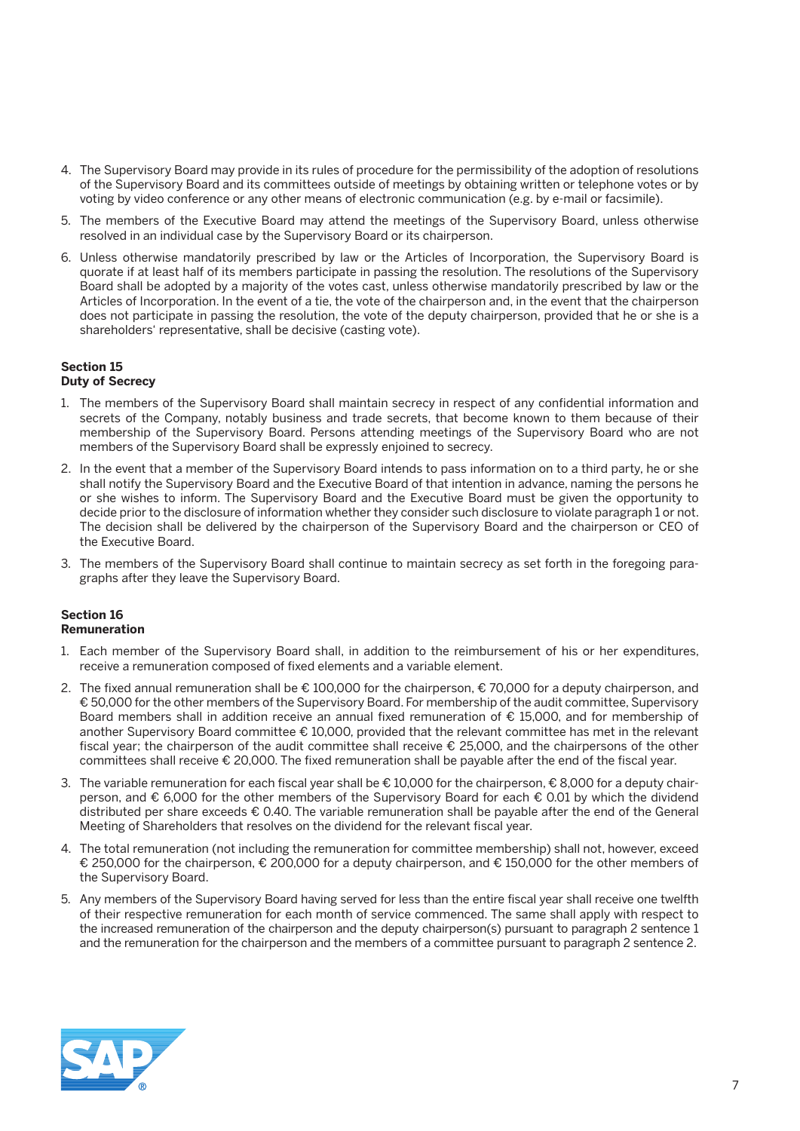- 4. The Supervisory Board may provide in its rules of procedure for the permissibility of the adoption of resolutions of the Supervisory Board and its committees outside of meetings by obtaining written or telephone votes or by voting by video conference or any other means of electronic communication (e.g. by e-mail or facsimile).
- 5. The members of the Executive Board may attend the meetings of the Supervisory Board, unless otherwise resolved in an individual case by the Supervisory Board or its chairperson.
- 6. Unless otherwise mandatorily prescribed by law or the Articles of Incorporation, the Supervisory Board is quorate if at least half of its members participate in passing the resolution. The resolutions of the Supervisory Board shall be adopted by a majority of the votes cast, unless otherwise mandatorily prescribed by law or the Articles of Incorporation. In the event of a tie, the vote of the chairperson and, in the event that the chairperson does not participate in passing the resolution, the vote of the deputy chairperson, provided that he or she is a shareholders' representative, shall be decisive (casting vote).

### **Section 15**

### **Duty of Secrecy**

- 1. The members of the Supervisory Board shall maintain secrecy in respect of any confidential information and secrets of the Company, notably business and trade secrets, that become known to them because of their membership of the Supervisory Board. Persons attending meetings of the Supervisory Board who are not members of the Supervisory Board shall be expressly enjoined to secrecy.
- 2. In the event that a member of the Supervisory Board intends to pass information on to a third party, he or she shall notify the Supervisory Board and the Executive Board of that intention in advance, naming the persons he or she wishes to inform. The Supervisory Board and the Executive Board must be given the opportunity to decide prior to the disclosure of information whether they consider such disclosure to violate paragraph 1 or not. The decision shall be delivered by the chairperson of the Supervisory Board and the chairperson or CEO of the Executive Board.
- 3. The members of the Supervisory Board shall continue to maintain secrecy as set forth in the foregoing paragraphs after they leave the Supervisory Board.

#### **Section 16 Remuneration**

- 1. Each member of the Supervisory Board shall, in addition to the reimbursement of his or her expenditures, receive a remuneration composed of fixed elements and a variable element.
- 2. The fixed annual remuneration shall be € 100,000 for the chairperson, € 70,000 for a deputy chairperson, and € 50,000 for the other members of the Supervisory Board. For membership of the audit committee, Supervisory Board members shall in addition receive an annual fixed remuneration of € 15,000, and for membership of another Supervisory Board committee € 10,000, provided that the relevant committee has met in the relevant fiscal year; the chairperson of the audit committee shall receive € 25,000, and the chairpersons of the other committees shall receive € 20,000. The fixed remuneration shall be payable after the end of the fiscal year.
- 3. The variable remuneration for each fiscal year shall be € 10,000 for the chairperson, € 8,000 for a deputy chairperson, and € 6,000 for the other members of the Supervisory Board for each € 0.01 by which the dividend distributed per share exceeds € 0.40. The variable remuneration shall be payable after the end of the General Meeting of Shareholders that resolves on the dividend for the relevant fiscal year.
- 4. The total remuneration (not including the remuneration for committee membership) shall not, however, exceed € 250,000 for the chairperson, € 200,000 for a deputy chairperson, and € 150,000 for the other members of the Supervisory Board.
- 5. Any members of the Supervisory Board having served for less than the entire fiscal year shall receive one twelfth of their respective remuneration for each month of service commenced. The same shall apply with respect to the increased remuneration of the chairperson and the deputy chairperson(s) pursuant to paragraph 2 sentence 1 and the remuneration for the chairperson and the members of a committee pursuant to paragraph 2 sentence 2.

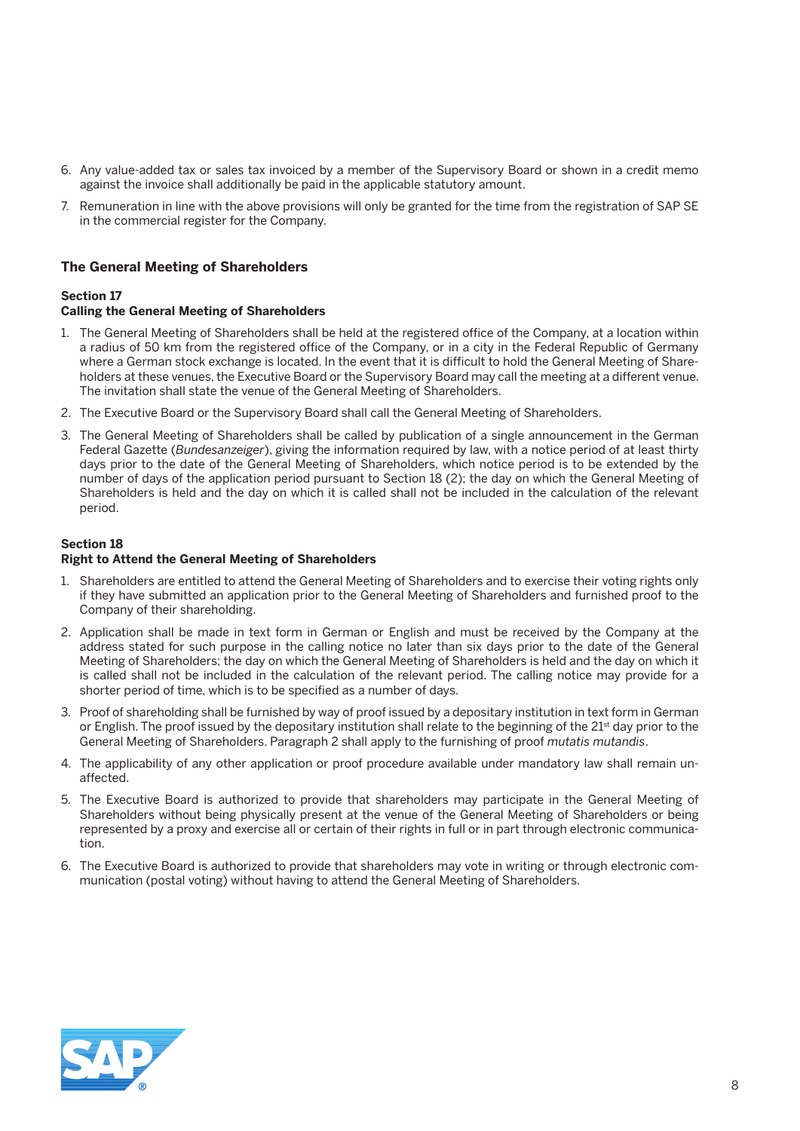- 6. Any value-added tax or sales tax invoiced by a member of the Supervisory Board or shown in a credit memo against the invoice shall additionally be paid in the applicable statutory amount.
- 7. Remuneration in line with the above provisions will only be granted for the time from the registration of SAP SE in the commercial register for the Company.

#### **The General Meeting of Shareholders**

#### **Section 17**

#### **Calling the General Meeting of Shareholders**

- 1. The General Meeting of Shareholders shall be held at the registered office of the Company, at a location within a radius of 50 km from the registered office of the Company, or in a city in the Federal Republic of Germany where a German stock exchange is located. In the event that it is difficult to hold the General Meeting of Shareholders at these venues, the Executive Board or the Supervisory Board may call the meeting at a different venue. The invitation shall state the venue of the General Meeting of Shareholders.
- 2. The Executive Board or the Supervisory Board shall call the General Meeting of Shareholders.
- 3. The General Meeting of Shareholders shall be called by publication of a single announcement in the German Federal Gazette (*Bundesanzeiger*), giving the information required by law, with a notice period of at least thirty days prior to the date of the General Meeting of Shareholders, which notice period is to be extended by the number of days of the application period pursuant to Section 18 (2); the day on which the General Meeting of Shareholders is held and the day on which it is called shall not be included in the calculation of the relevant period.

#### **Section 18**

#### **Right to Attend the General Meeting of Shareholders**

- 1. Shareholders are entitled to attend the General Meeting of Shareholders and to exercise their voting rights only if they have submitted an application prior to the General Meeting of Shareholders and furnished proof to the Company of their shareholding.
- 2. Application shall be made in text form in German or English and must be received by the Company at the address stated for such purpose in the calling notice no later than six days prior to the date of the General Meeting of Shareholders; the day on which the General Meeting of Shareholders is held and the day on which it is called shall not be included in the calculation of the relevant period. The calling notice may provide for a shorter period of time, which is to be specified as a number of days.
- 3. Proof of shareholding shall be furnished by way of proof issued by a depositary institution in text form in German or English. The proof issued by the depositary institution shall relate to the beginning of the 21<sup>st</sup> day prior to the General Meeting of Shareholders. Paragraph 2 shall apply to the furnishing of proof *mutatis mutandis*.
- 4. The applicability of any other application or proof procedure available under mandatory law shall remain unaffected.
- 5. The Executive Board is authorized to provide that shareholders may participate in the General Meeting of Shareholders without being physically present at the venue of the General Meeting of Shareholders or being represented by a proxy and exercise all or certain of their rights in full or in part through electronic communication.
- 6. The Executive Board is authorized to provide that shareholders may vote in writing or through electronic communication (postal voting) without having to attend the General Meeting of Shareholders.

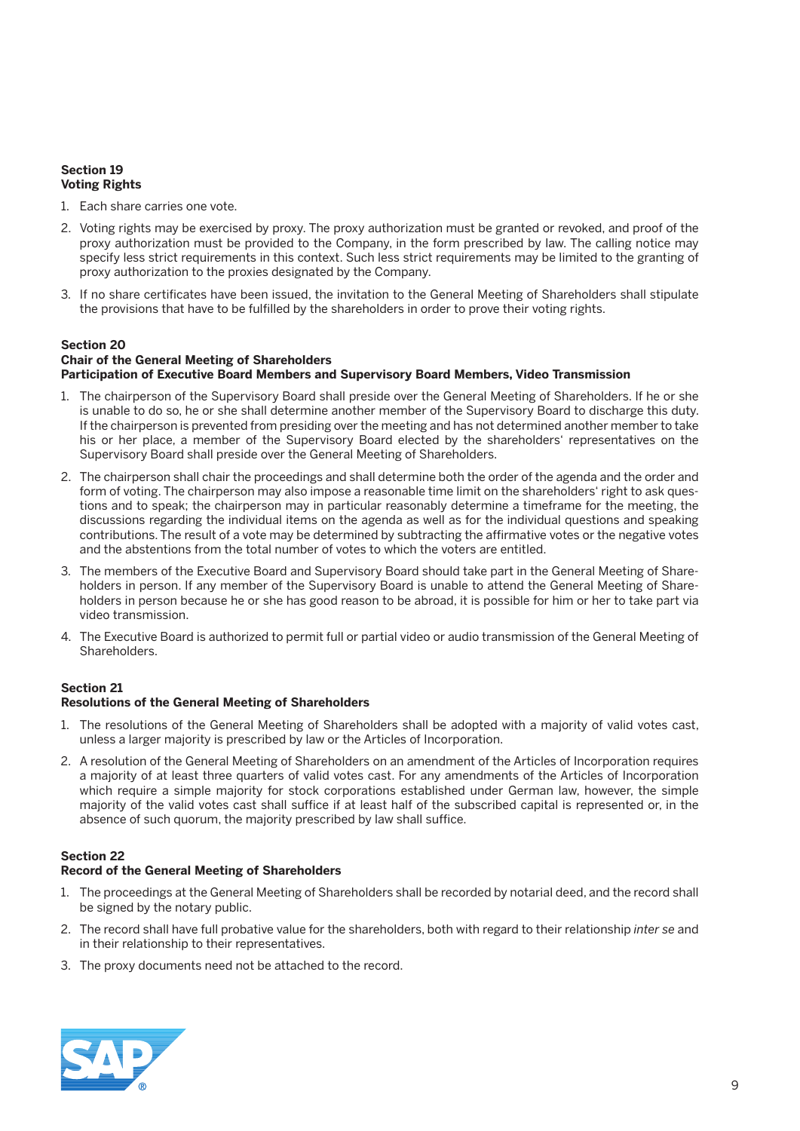#### **Section 19 Voting Rights**

- 1. Each share carries one vote.
- 2. Voting rights may be exercised by proxy. The proxy authorization must be granted or revoked, and proof of the proxy authorization must be provided to the Company, in the form prescribed by law. The calling notice may specify less strict requirements in this context. Such less strict requirements may be limited to the granting of proxy authorization to the proxies designated by the Company.
- 3. If no share certificates have been issued, the invitation to the General Meeting of Shareholders shall stipulate the provisions that have to be fulfilled by the shareholders in order to prove their voting rights.

### **Section 20 Chair of the General Meeting of Shareholders**

#### **Participation of Executive Board Members and Supervisory Board Members, Video Transmission**

- 1. The chairperson of the Supervisory Board shall preside over the General Meeting of Shareholders. If he or she is unable to do so, he or she shall determine another member of the Supervisory Board to discharge this duty. If the chairperson is prevented from presiding over the meeting and has not determined another member to take his or her place, a member of the Supervisory Board elected by the shareholders' representatives on the Supervisory Board shall preside over the General Meeting of Shareholders.
- 2. The chairperson shall chair the proceedings and shall determine both the order of the agenda and the order and form of voting. The chairperson may also impose a reasonable time limit on the shareholders' right to ask questions and to speak; the chairperson may in particular reasonably determine a timeframe for the meeting, the discussions regarding the individual items on the agenda as well as for the individual questions and speaking contributions. The result of a vote may be determined by subtracting the affirmative votes or the negative votes and the abstentions from the total number of votes to which the voters are entitled.
- 3. The members of the Executive Board and Supervisory Board should take part in the General Meeting of Shareholders in person. If any member of the Supervisory Board is unable to attend the General Meeting of Shareholders in person because he or she has good reason to be abroad, it is possible for him or her to take part via video transmission.
- 4. The Executive Board is authorized to permit full or partial video or audio transmission of the General Meeting of Shareholders.

#### **Section 21**

#### **Resolutions of the General Meeting of Shareholders**

- 1. The resolutions of the General Meeting of Shareholders shall be adopted with a majority of valid votes cast, unless a larger majority is prescribed by law or the Articles of Incorporation.
- 2. A resolution of the General Meeting of Shareholders on an amendment of the Articles of Incorporation requires a majority of at least three quarters of valid votes cast. For any amendments of the Articles of Incorporation which require a simple majority for stock corporations established under German law, however, the simple majority of the valid votes cast shall suffice if at least half of the subscribed capital is represented or, in the absence of such quorum, the majority prescribed by law shall suffice.

#### **Section 22**

#### **Record of the General Meeting of Shareholders**

- 1. The proceedings at the General Meeting of Shareholders shall be recorded by notarial deed, and the record shall be signed by the notary public.
- 2. The record shall have full probative value for the shareholders, both with regard to their relationship *inter se* and in their relationship to their representatives.
- 3. The proxy documents need not be attached to the record.